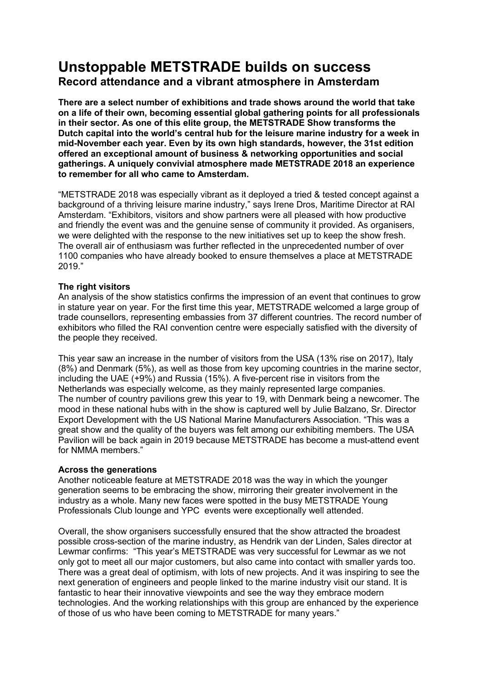# **Unstoppable METSTRADE builds on success Record attendance and a vibrant atmosphere in Amsterdam**

**There are a select number of exhibitions and trade shows around the world that take on a life of their own, becoming essential global gathering points for all professionals in their sector. As one of this elite group, the METSTRADE Show transforms the Dutch capital into the world's central hub for the leisure marine industry for a week in mid-November each year. Even by its own high standards, however, the 31st edition offered an exceptional amount of business & networking opportunities and social gatherings. A uniquely convivial atmosphere made METSTRADE 2018 an experience to remember for all who came to Amsterdam.**

"METSTRADE 2018 was especially vibrant as it deployed a tried & tested concept against a background of a thriving leisure marine industry," says Irene Dros, Maritime Director at RAI Amsterdam. "Exhibitors, visitors and show partners were all pleased with how productive and friendly the event was and the genuine sense of community it provided. As organisers, we were delighted with the response to the new initiatives set up to keep the show fresh. The overall air of enthusiasm was further reflected in the unprecedented number of over 1100 companies who have already booked to ensure themselves a place at METSTRADE 2019."

## **The right visitors**

An analysis of the show statistics confirms the impression of an event that continues to grow in stature year on year. For the first time this year, METSTRADE welcomed a large group of trade counsellors, representing embassies from 37 different countries. The record number of exhibitors who filled the RAI convention centre were especially satisfied with the diversity of the people they received.

This year saw an increase in the number of visitors from the USA (13% rise on 2017), Italy (8%) and Denmark (5%), as well as those from key upcoming countries in the marine sector, including the UAE (+9%) and Russia (15%). A five-percent rise in visitors from the Netherlands was especially welcome, as they mainly represented large companies. The number of country pavilions grew this year to 19, with Denmark being a newcomer. The mood in these national hubs with in the show is captured well by Julie Balzano, Sr. Director Export Development with the US National Marine Manufacturers Association. "This was a great show and the quality of the buyers was felt among our exhibiting members. The USA Pavilion will be back again in 2019 because METSTRADE has become a must-attend event for NMMA members."

## **Across the generations**

Another noticeable feature at METSTRADE 2018 was the way in which the younger generation seems to be embracing the show, mirroring their greater involvement in the industry as a whole. Many new faces were spotted in the busy METSTRADE Young Professionals Club lounge and YPC events were exceptionally well attended.

Overall, the show organisers successfully ensured that the show attracted the broadest possible cross-section of the marine industry, as Hendrik van der Linden, Sales director at Lewmar confirms: "This year's METSTRADE was very successful for Lewmar as we not only got to meet all our major customers, but also came into contact with smaller yards too. There was a great deal of optimism, with lots of new projects. And it was inspiring to see the next generation of engineers and people linked to the marine industry visit our stand. It is fantastic to hear their innovative viewpoints and see the way they embrace modern technologies. And the working relationships with this group are enhanced by the experience of those of us who have been coming to METSTRADE for many years."